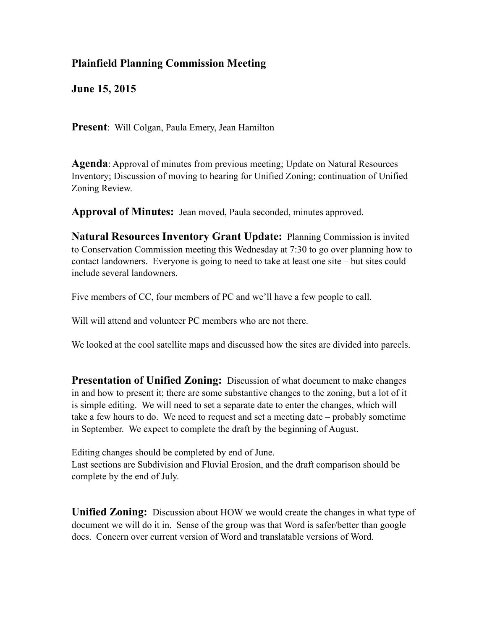## **Plainfield Planning Commission Meeting**

**June 15, 2015**

**Present**: Will Colgan, Paula Emery, Jean Hamilton

**Agenda**: Approval of minutes from previous meeting; Update on Natural Resources Inventory; Discussion of moving to hearing for Unified Zoning; continuation of Unified Zoning Review.

**Approval of Minutes:** Jean moved, Paula seconded, minutes approved.

**Natural Resources Inventory Grant Update:** Planning Commission is invited to Conservation Commission meeting this Wednesday at 7:30 to go over planning how to contact landowners. Everyone is going to need to take at least one site – but sites could include several landowners.

Five members of CC, four members of PC and we'll have a few people to call.

Will will attend and volunteer PC members who are not there.

We looked at the cool satellite maps and discussed how the sites are divided into parcels.

**Presentation of Unified Zoning:** Discussion of what document to make changes in and how to present it; there are some substantive changes to the zoning, but a lot of it is simple editing. We will need to set a separate date to enter the changes, which will take a few hours to do. We need to request and set a meeting date – probably sometime in September. We expect to complete the draft by the beginning of August.

Editing changes should be completed by end of June.

Last sections are Subdivision and Fluvial Erosion, and the draft comparison should be complete by the end of July.

**Unified Zoning:** Discussion about HOW we would create the changes in what type of document we will do it in. Sense of the group was that Word is safer/better than google docs. Concern over current version of Word and translatable versions of Word.